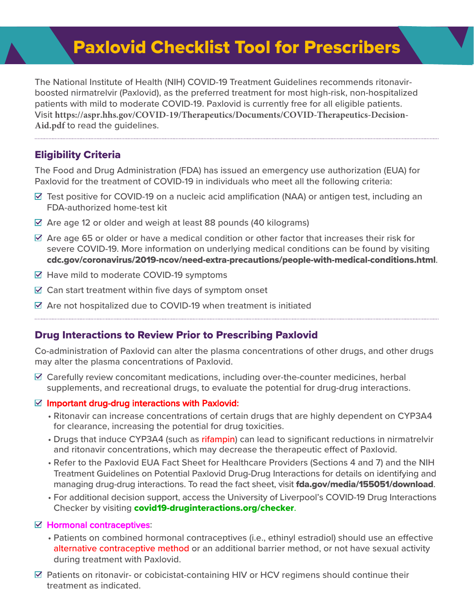# Paxlovid Checklist Tool for Prescribers

The National Institute of Health (NIH) COVID-19 Treatment Guidelines recommends ritonavirboosted nirmatrelvir (Paxlovid), as the preferred treatment for most high-risk, non-hospitalized patients with mild to moderate COVID-19. Paxlovid is currently free for all eligible patients. Visit **[https://aspr.hhs.gov/COVID-19/Therapeutics/Documents/COVID-Therapeutics-Decision-](http://www.covid19treatmentguidelines.nih.gov/management/clinical-management/nonhospitalized-adults--therapeutic-management/)Aid.pdf** to read the guidelines.

## Eligibility Criteria

The Food and Drug Administration (FDA) has issued an emergency use authorization (EUA) for Paxlovid for the treatment of COVID-19 in individuals who meet all the following criteria:

- Test positive for COVID-19 on a nucleic acid amplification (NAA) or antigen test, including an FDA-authorized home-test kit
- Are age 12 or older and weigh at least 88 pounds (40 kilograms)
- Are age 65 or older or have a medical condition or other factor that increases their risk for severe COVID-19. More information on underlying medical conditions can be found by visiting [cdc.gov/coronavirus/2019-ncov/need-extra-precautions/people-with-medical-conditions.html](http://cdc.gov/coronavirus/2019-ncov/need-extra-precautions/people-with-medical-conditions.html).
- Have mild to moderate COVID-19 symptoms
- Can start treatment within five days of symptom onset
- Are not hospitalized due to COVID-19 when treatment is initiated

## Drug Interactions to Review Prior to Prescribing Paxlovid

Co-administration of Paxlovid can alter the plasma concentrations of other drugs, and other drugs may alter the plasma concentrations of Paxlovid.

 Carefully review concomitant medications, including over-the-counter medicines, herbal supplements, and recreational drugs, to evaluate the potential for drug-drug interactions.

#### Important drug-drug interactions with Paxlovid:

- Ritonavir can increase concentrations of certain drugs that are highly dependent on CYP3A4 for clearance, increasing the potential for drug toxicities.
- Drugs that induce CYP3A4 (such as rifampin) can lead to significant reductions in nirmatrelvir and ritonavir concentrations, which may decrease the therapeutic effect of Paxlovid.
- Refer to the Paxlovid EUA Fact Sheet for Healthcare Providers (Sections 4 and 7) and the NIH Treatment Guidelines on Potential Paxlovid Drug-Drug Interactions for details on identifying and managing drug-drug interactions. To read the fact sheet, visit **[fda.gov/media/155051/download](http://fda.gov/media/155051/download).**
- For additional decision support, access the University of Liverpool's COVID-19 Drug Interactions Checker by visiting [covid19-druginteractions.org/checker](http://covid19-druginteractions.org/checker).

#### Hormonal contraceptives:

- Patients on combined hormonal contraceptives (i.e., ethinyl estradiol) should use an effective alternative contraceptive method or an additional barrier method, or not have sexual activity during treatment with Paxlovid.
- Patients on ritonavir- or cobicistat-containing HIV or HCV regimens should continue their treatment as indicated.